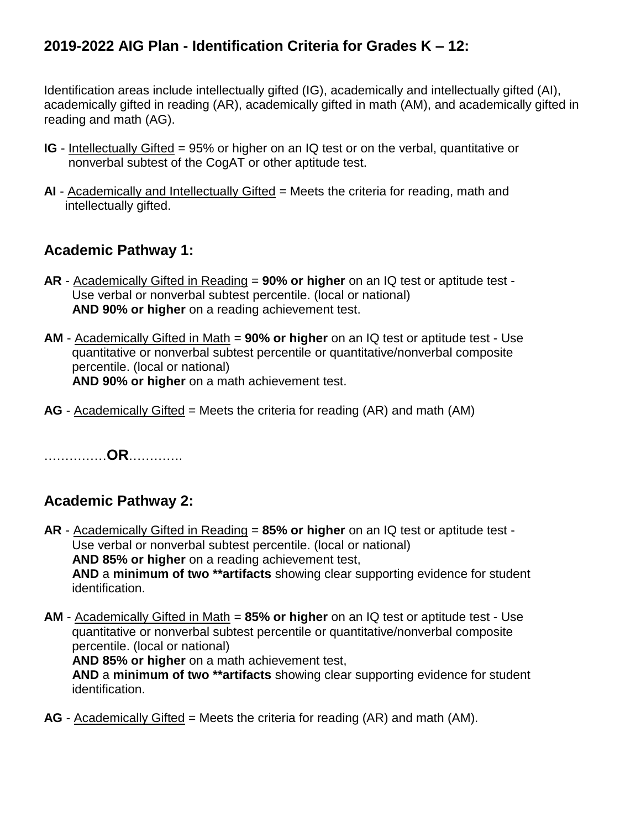## **2019-2022 AIG Plan - Identification Criteria for Grades K – 12:**

Identification areas include intellectually gifted (IG), academically and intellectually gifted (AI), academically gifted in reading (AR), academically gifted in math (AM), and academically gifted in reading and math (AG).

- **IG** Intellectually Gifted = 95% or higher on an IQ test or on the verbal, quantitative or nonverbal subtest of the CogAT or other aptitude test.
- **AI**  Academically and Intellectually Gifted = Meets the criteria for reading, math and intellectually gifted.

## **Academic Pathway 1:**

- **AR**  Academically Gifted in Reading = **90% or higher** on an IQ test or aptitude test Use verbal or nonverbal subtest percentile. (local or national) **AND 90% or higher** on a reading achievement test.
- **AM**  Academically Gifted in Math = **90% or higher** on an IQ test or aptitude test Use quantitative or nonverbal subtest percentile or quantitative/nonverbal composite percentile. (local or national) **AND 90% or higher** on a math achievement test.
- **AG** Academically Gifted = Meets the criteria for reading (AR) and math (AM)

……………**OR**………….

## **Academic Pathway 2:**

- **AR** Academically Gifted in Reading = **85% or higher** on an IQ test or aptitude test Use verbal or nonverbal subtest percentile. (local or national) **AND 85% or higher** on a reading achievement test, **AND** a **minimum of two \*\*artifacts** showing clear supporting evidence for student identification.
- **AM** Academically Gifted in Math = **85% or higher** on an IQ test or aptitude test Use quantitative or nonverbal subtest percentile or quantitative/nonverbal composite percentile. (local or national) **AND 85% or higher** on a math achievement test,

 **AND** a **minimum of two \*\*artifacts** showing clear supporting evidence for student identification.

**AG** - Academically Gifted = Meets the criteria for reading (AR) and math (AM).